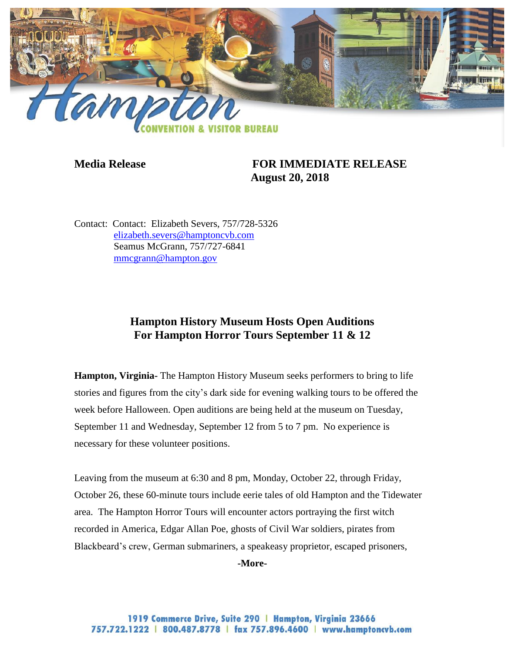

## **Media Release FOR IMMEDIATE RELEASE August 20, 2018**

Contact: Contact: Elizabeth Severs, 757/728-5326 [elizabeth.severs@hamptoncvb.com](mailto:elizabeth.severs@hamptoncvb.com) Seamus McGrann, 757/727-6841 [mmcgrann@hampton.gov](mailto:mmcgrann@hampton.gov)

## **Hampton History Museum Hosts Open Auditions For Hampton Horror Tours September 11 & 12**

**Hampton, Virginia-** The Hampton History Museum seeks performers to bring to life stories and figures from the city's dark side for evening walking tours to be offered the week before Halloween. Open auditions are being held at the museum on Tuesday, September 11 and Wednesday, September 12 from 5 to 7 pm. No experience is necessary for these volunteer positions.

Leaving from the museum at 6:30 and 8 pm, Monday, October 22, through Friday, October 26, these 60-minute tours include eerie tales of old Hampton and the Tidewater area. The Hampton Horror Tours will encounter actors portraying the first witch recorded in America, Edgar Allan Poe, ghosts of Civil War soldiers, pirates from Blackbeard's crew, German submariners, a speakeasy proprietor, escaped prisoners,

**-More-**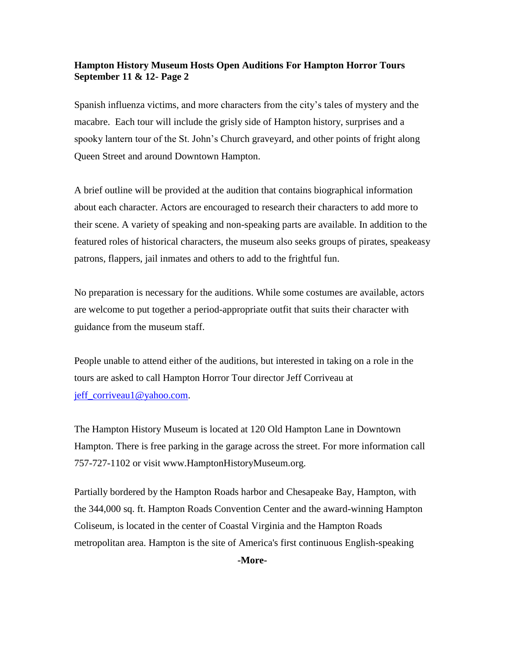## **Hampton History Museum Hosts Open Auditions For Hampton Horror Tours September 11 & 12- Page 2**

Spanish influenza victims, and more characters from the city's tales of mystery and the macabre. Each tour will include the grisly side of Hampton history, surprises and a spooky lantern tour of the St. John's Church graveyard, and other points of fright along Queen Street and around Downtown Hampton.

A brief outline will be provided at the audition that contains biographical information about each character. Actors are encouraged to research their characters to add more to their scene. A variety of speaking and non-speaking parts are available. In addition to the featured roles of historical characters, the museum also seeks groups of pirates, speakeasy patrons, flappers, jail inmates and others to add to the frightful fun.

No preparation is necessary for the auditions. While some costumes are available, actors are welcome to put together a period-appropriate outfit that suits their character with guidance from the museum staff.

People unable to attend either of the auditions, but interested in taking on a role in the tours are asked to call Hampton Horror Tour director Jeff Corriveau at [jeff\\_corriveau1@yahoo.com.](mailto:jeff_corriveau1@yahoo.com)

The Hampton History Museum is located at 120 Old Hampton Lane in Downtown Hampton. There is free parking in the garage across the street. For more information call 757-727-1102 or visit www.HamptonHistoryMuseum.org.

Partially bordered by the Hampton Roads harbor and Chesapeake Bay, Hampton, with the 344,000 sq. ft. Hampton Roads Convention Center and the award-winning Hampton Coliseum, is located in the center of Coastal Virginia and the Hampton Roads metropolitan area. Hampton is the site of America's first continuous English-speaking

**-More-**